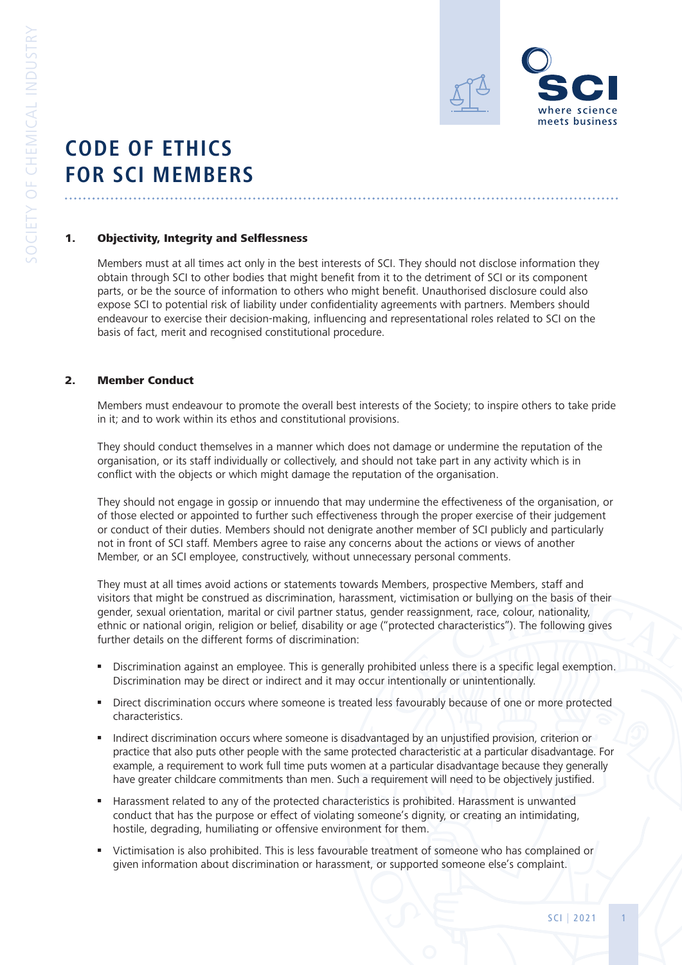

# **CODE OF ETHICS FOR SCI MEMBERS**

## 1. Objectivity, Integrity and Selflessness

Members must at all times act only in the best interests of SCI. They should not disclose information they obtain through SCI to other bodies that might benefit from it to the detriment of SCI or its component parts, or be the source of information to others who might benefit. Unauthorised disclosure could also expose SCI to potential risk of liability under confidentiality agreements with partners. Members should endeavour to exercise their decision-making, influencing and representational roles related to SCI on the basis of fact, merit and recognised constitutional procedure.

## 2. Member Conduct

Members must endeavour to promote the overall best interests of the Society; to inspire others to take pride in it; and to work within its ethos and constitutional provisions.

They should conduct themselves in a manner which does not damage or undermine the reputation of the organisation, or its staff individually or collectively, and should not take part in any activity which is in conflict with the objects or which might damage the reputation of the organisation.

They should not engage in gossip or innuendo that may undermine the effectiveness of the organisation, or of those elected or appointed to further such effectiveness through the proper exercise of their judgement or conduct of their duties. Members should not denigrate another member of SCI publicly and particularly not in front of SCI staff. Members agree to raise any concerns about the actions or views of another Member, or an SCI employee, constructively, without unnecessary personal comments.

They must at all times avoid actions or statements towards Members, prospective Members, staff and visitors that might be construed as discrimination, harassment, victimisation or bullying on the basis of their gender, sexual orientation, marital or civil partner status, gender reassignment, race, colour, nationality, ethnic or national origin, religion or belief, disability or age ("protected characteristics"). The following gives further details on the different forms of discrimination:

- Discrimination against an employee. This is generally prohibited unless there is a specific legal exemption. Discrimination may be direct or indirect and it may occur intentionally or unintentionally.
- Direct discrimination occurs where someone is treated less favourably because of one or more protected characteristics.
- Indirect discrimination occurs where someone is disadvantaged by an unjustified provision, criterion or practice that also puts other people with the same protected characteristic at a particular disadvantage. For example, a requirement to work full time puts women at a particular disadvantage because they generally have greater childcare commitments than men. Such a requirement will need to be objectively justified.
- Harassment related to any of the protected characteristics is prohibited. Harassment is unwanted conduct that has the purpose or effect of violating someone's dignity, or creating an intimidating, hostile, degrading, humiliating or offensive environment for them.
- Victimisation is also prohibited. This is less favourable treatment of someone who has complained or given information about discrimination or harassment, or supported someone else's complaint.

SCI | 2021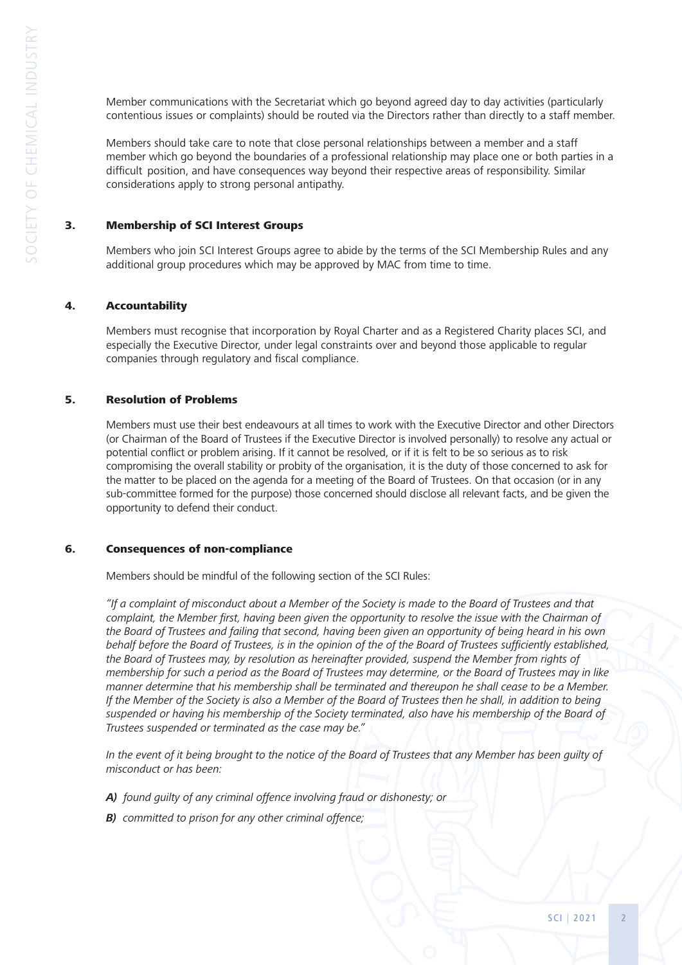Member communications with the Secretariat which go beyond agreed day to day activities (particularly contentious issues or complaints) should be routed via the Directors rather than directly to a staff member.

 Members should take care to note that close personal relationships between a member and a staff member which go beyond the boundaries of a professional relationship may place one or both parties in a difficult position, and have consequences way beyond their respective areas of responsibility. Similar considerations apply to strong personal antipathy.

## 3. Membership of SCI Interest Groups

 Members who join SCI Interest Groups agree to abide by the terms of the SCI Membership Rules and any additional group procedures which may be approved by MAC from time to time.

#### 4. Accountability

 Members must recognise that incorporation by Royal Charter and as a Registered Charity places SCI, and especially the Executive Director, under legal constraints over and beyond those applicable to regular companies through regulatory and fiscal compliance.

#### 5. Resolution of Problems

 Members must use their best endeavours at all times to work with the Executive Director and other Directors (or Chairman of the Board of Trustees if the Executive Director is involved personally) to resolve any actual or potential conflict or problem arising. If it cannot be resolved, or if it is felt to be so serious as to risk compromising the overall stability or probity of the organisation, it is the duty of those concerned to ask for the matter to be placed on the agenda for a meeting of the Board of Trustees. On that occasion (or in any sub-committee formed for the purpose) those concerned should disclose all relevant facts, and be given the opportunity to defend their conduct.

#### 6. Consequences of non-compliance

Members should be mindful of the following section of the SCI Rules:

 *"If a complaint of misconduct about a Member of the Society is made to the Board of Trustees and that complaint, the Member first, having been given the opportunity to resolve the issue with the Chairman of the Board of Trustees and failing that second, having been given an opportunity of being heard in his own behalf before the Board of Trustees, is in the opinion of the of the Board of Trustees sufficiently established, the Board of Trustees may, by resolution as hereinafter provided, suspend the Member from rights of membership for such a period as the Board of Trustees may determine, or the Board of Trustees may in like manner determine that his membership shall be terminated and thereupon he shall cease to be a Member. If the Member of the Society is also a Member of the Board of Trustees then he shall, in addition to being suspended or having his membership of the Society terminated, also have his membership of the Board of Trustees suspended or terminated as the case may be."* 

 *In the event of it being brought to the notice of the Board of Trustees that any Member has been guilty of misconduct or has been:*

- *A) found guilty of any criminal offence involving fraud or dishonesty; or*
- *B) committed to prison for any other criminal offence;*